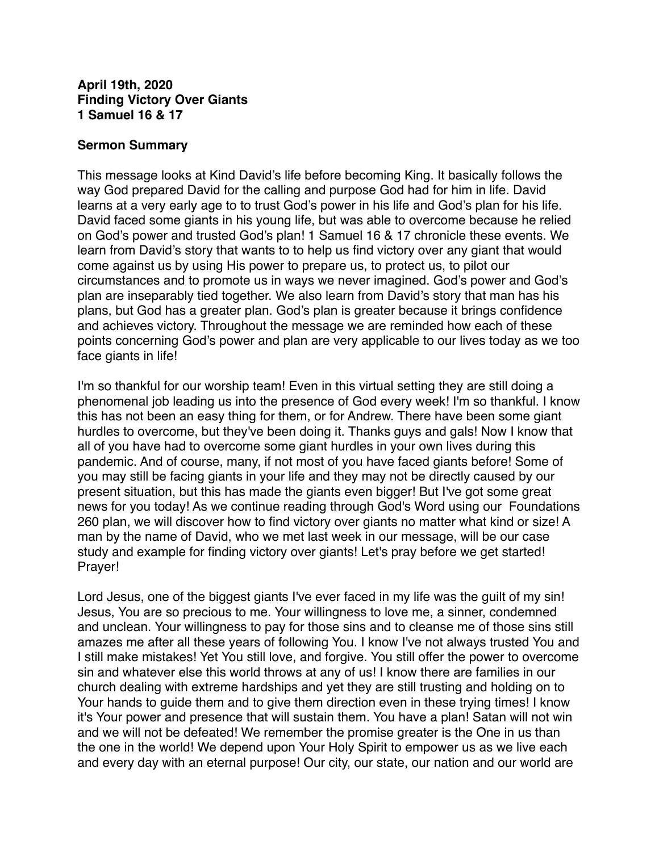#### **April 19th, 2020 Finding Victory Over Giants 1 Samuel 16 & 17**

#### **Sermon Summary**

This message looks at Kind David's life before becoming King. It basically follows the way God prepared David for the calling and purpose God had for him in life. David learns at a very early age to to trust God's power in his life and God's plan for his life. David faced some giants in his young life, but was able to overcome because he relied on God's power and trusted God's plan! 1 Samuel 16 & 17 chronicle these events. We learn from David's story that wants to to help us find victory over any giant that would come against us by using His power to prepare us, to protect us, to pilot our circumstances and to promote us in ways we never imagined. God's power and God's plan are inseparably tied together. We also learn from David's story that man has his plans, but God has a greater plan. God's plan is greater because it brings confidence and achieves victory. Throughout the message we are reminded how each of these points concerning God's power and plan are very applicable to our lives today as we too face giants in life!

I'm so thankful for our worship team! Even in this virtual setting they are still doing a phenomenal job leading us into the presence of God every week! I'm so thankful. I know this has not been an easy thing for them, or for Andrew. There have been some giant hurdles to overcome, but they've been doing it. Thanks guys and gals! Now I know that all of you have had to overcome some giant hurdles in your own lives during this pandemic. And of course, many, if not most of you have faced giants before! Some of you may still be facing giants in your life and they may not be directly caused by our present situation, but this has made the giants even bigger! But I've got some great news for you today! As we continue reading through God's Word using our Foundations 260 plan, we will discover how to find victory over giants no matter what kind or size! A man by the name of David, who we met last week in our message, will be our case study and example for finding victory over giants! Let's pray before we get started! Prayer!

Lord Jesus, one of the biggest giants I've ever faced in my life was the guilt of my sin! Jesus, You are so precious to me. Your willingness to love me, a sinner, condemned and unclean. Your willingness to pay for those sins and to cleanse me of those sins still amazes me after all these years of following You. I know I've not always trusted You and I still make mistakes! Yet You still love, and forgive. You still offer the power to overcome sin and whatever else this world throws at any of us! I know there are families in our church dealing with extreme hardships and yet they are still trusting and holding on to Your hands to guide them and to give them direction even in these trying times! I know it's Your power and presence that will sustain them. You have a plan! Satan will not win and we will not be defeated! We remember the promise greater is the One in us than the one in the world! We depend upon Your Holy Spirit to empower us as we live each and every day with an eternal purpose! Our city, our state, our nation and our world are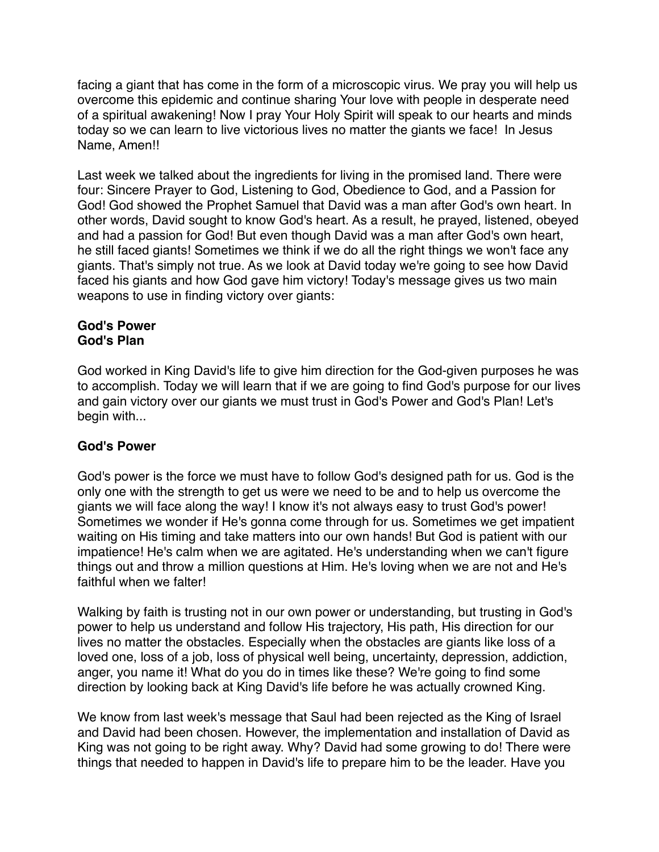facing a giant that has come in the form of a microscopic virus. We pray you will help us overcome this epidemic and continue sharing Your love with people in desperate need of a spiritual awakening! Now I pray Your Holy Spirit will speak to our hearts and minds today so we can learn to live victorious lives no matter the giants we face! In Jesus Name, Amen!!

Last week we talked about the ingredients for living in the promised land. There were four: Sincere Prayer to God, Listening to God, Obedience to God, and a Passion for God! God showed the Prophet Samuel that David was a man after God's own heart. In other words, David sought to know God's heart. As a result, he prayed, listened, obeyed and had a passion for God! But even though David was a man after God's own heart, he still faced giants! Sometimes we think if we do all the right things we won't face any giants. That's simply not true. As we look at David today we're going to see how David faced his giants and how God gave him victory! Today's message gives us two main weapons to use in finding victory over giants:

#### **God's Power God's Plan**

God worked in King David's life to give him direction for the God-given purposes he was to accomplish. Today we will learn that if we are going to find God's purpose for our lives and gain victory over our giants we must trust in God's Power and God's Plan! Let's begin with...

# **God's Power**

God's power is the force we must have to follow God's designed path for us. God is the only one with the strength to get us were we need to be and to help us overcome the giants we will face along the way! I know it's not always easy to trust God's power! Sometimes we wonder if He's gonna come through for us. Sometimes we get impatient waiting on His timing and take matters into our own hands! But God is patient with our impatience! He's calm when we are agitated. He's understanding when we can't figure things out and throw a million questions at Him. He's loving when we are not and He's faithful when we falter!

Walking by faith is trusting not in our own power or understanding, but trusting in God's power to help us understand and follow His trajectory, His path, His direction for our lives no matter the obstacles. Especially when the obstacles are giants like loss of a loved one, loss of a job, loss of physical well being, uncertainty, depression, addiction, anger, you name it! What do you do in times like these? We're going to find some direction by looking back at King David's life before he was actually crowned King.

We know from last week's message that Saul had been rejected as the King of Israel and David had been chosen. However, the implementation and installation of David as King was not going to be right away. Why? David had some growing to do! There were things that needed to happen in David's life to prepare him to be the leader. Have you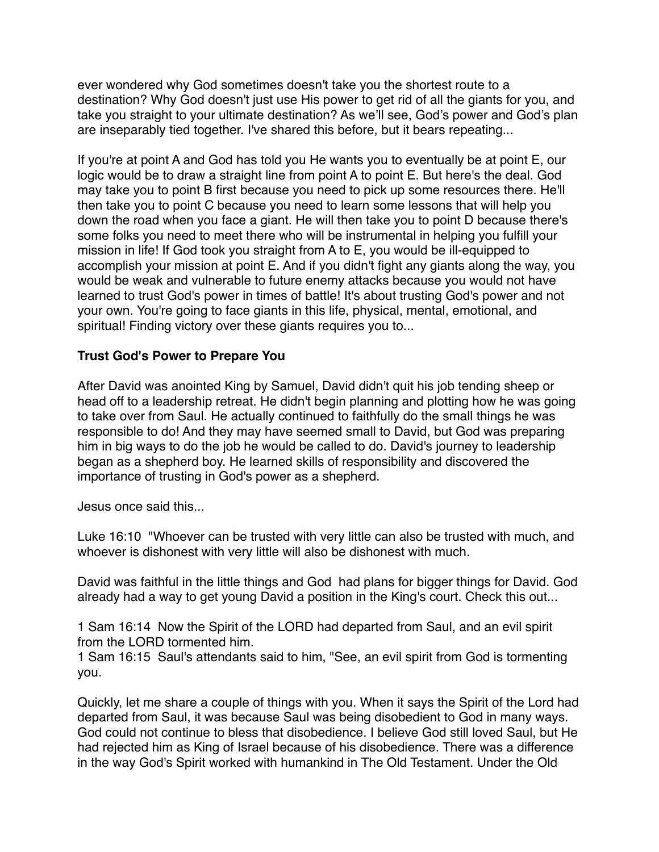ever wondered why God sometimes doesn't take you the shortest route to a destination? Why God doesn't just use His power to get rid of all the giants for you, and take you straight to your ultimate destination? As we'll see, God's power and God's plan are inseparably tied together. I've shared this before, but it bears repeating...

If you're at point A and God has told you He wants you to eventually be at point E, our logic would be to draw a straight line from point A to point E. But here's the deal. God may take you to point B first because you need to pick up some resources there. He'll then take you to point C because you need to learn some lessons that will help you down the road when you face a giant. He will then take you to point D because there's some folks you need to meet there who will be instrumental in helping you fulfill your mission in life! If God took you straight from A to E, you would be ill-equipped to accomplish your mission at point E. And if you didn't fight any giants along the way, you would be weak and vulnerable to future enemy attacks because you would not have learned to trust God's power in times of battle! It's about trusting God's power and not your own. You're going to face giants in this life, physical, mental, emotional, and spiritual! Finding victory over these giants requires you to...

#### **Trust God's Power to Prepare You**

After David was anointed King by Samuel, David didn't quit his job tending sheep or head off to a leadership retreat. He didn't begin planning and plotting how he was going to take over from Saul. He actually continued to faithfully do the small things he was responsible to do! And they may have seemed small to David, but God was preparing him in big ways to do the job he would be called to do. David's journey to leadership began as a shepherd boy. He learned skills of responsibility and discovered the importance of trusting in God's power as a shepherd.

Jesus once said this...

Luke 16:10 "Whoever can be trusted with very little can also be trusted with much, and whoever is dishonest with very little will also be dishonest with much.

David was faithful in the little things and God had plans for bigger things for David. God already had a way to get young David a position in the King's court. Check this out...

1 Sam 16:14 Now the Spirit of the LORD had departed from Saul, and an evil spirit from the LORD tormented him.

1 Sam 16:15 Saul's attendants said to him, "See, an evil spirit from God is tormenting you.

Quickly, let me share a couple of things with you. When it says the Spirit of the Lord had departed from Saul, it was because Saul was being disobedient to God in many ways. God could not continue to bless that disobedience. I believe God still loved Saul, but He had rejected him as King of Israel because of his disobedience. There was a difference in the way God's Spirit worked with humankind in The Old Testament. Under the Old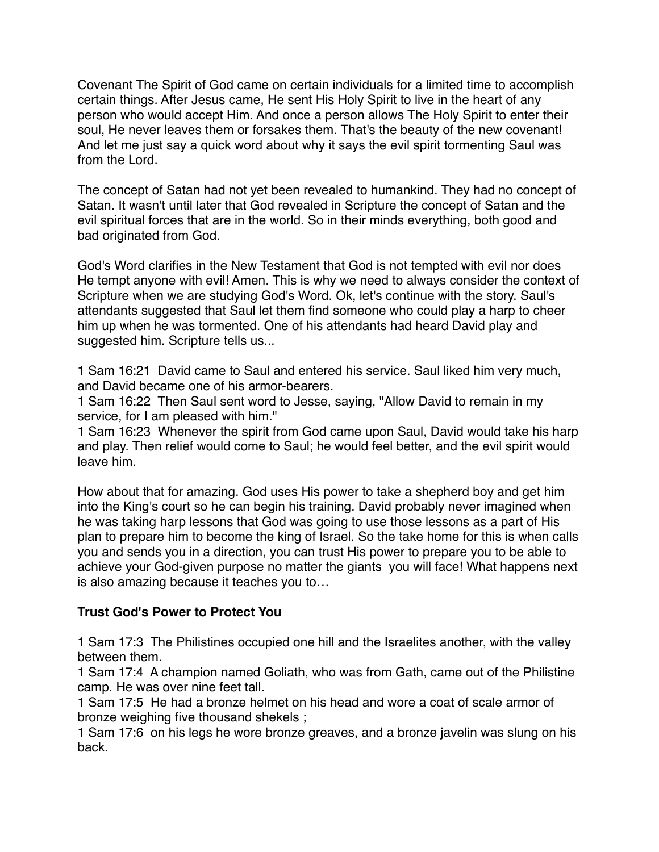Covenant The Spirit of God came on certain individuals for a limited time to accomplish certain things. After Jesus came, He sent His Holy Spirit to live in the heart of any person who would accept Him. And once a person allows The Holy Spirit to enter their soul, He never leaves them or forsakes them. That's the beauty of the new covenant! And let me just say a quick word about why it says the evil spirit tormenting Saul was from the Lord.

The concept of Satan had not yet been revealed to humankind. They had no concept of Satan. It wasn't until later that God revealed in Scripture the concept of Satan and the evil spiritual forces that are in the world. So in their minds everything, both good and bad originated from God.

God's Word clarifies in the New Testament that God is not tempted with evil nor does He tempt anyone with evil! Amen. This is why we need to always consider the context of Scripture when we are studying God's Word. Ok, let's continue with the story. Saul's attendants suggested that Saul let them find someone who could play a harp to cheer him up when he was tormented. One of his attendants had heard David play and suggested him. Scripture tells us...

1 Sam 16:21 David came to Saul and entered his service. Saul liked him very much, and David became one of his armor-bearers.

1 Sam 16:22 Then Saul sent word to Jesse, saying, "Allow David to remain in my service, for I am pleased with him."

1 Sam 16:23 Whenever the spirit from God came upon Saul, David would take his harp and play. Then relief would come to Saul; he would feel better, and the evil spirit would leave him.

How about that for amazing. God uses His power to take a shepherd boy and get him into the King's court so he can begin his training. David probably never imagined when he was taking harp lessons that God was going to use those lessons as a part of His plan to prepare him to become the king of Israel. So the take home for this is when calls you and sends you in a direction, you can trust His power to prepare you to be able to achieve your God-given purpose no matter the giants you will face! What happens next is also amazing because it teaches you to…

# **Trust God's Power to Protect You**

1 Sam 17:3 The Philistines occupied one hill and the Israelites another, with the valley between them.

1 Sam 17:4 A champion named Goliath, who was from Gath, came out of the Philistine camp. He was over nine feet tall.

1 Sam 17:5 He had a bronze helmet on his head and wore a coat of scale armor of bronze weighing five thousand shekels ;

1 Sam 17:6 on his legs he wore bronze greaves, and a bronze javelin was slung on his back.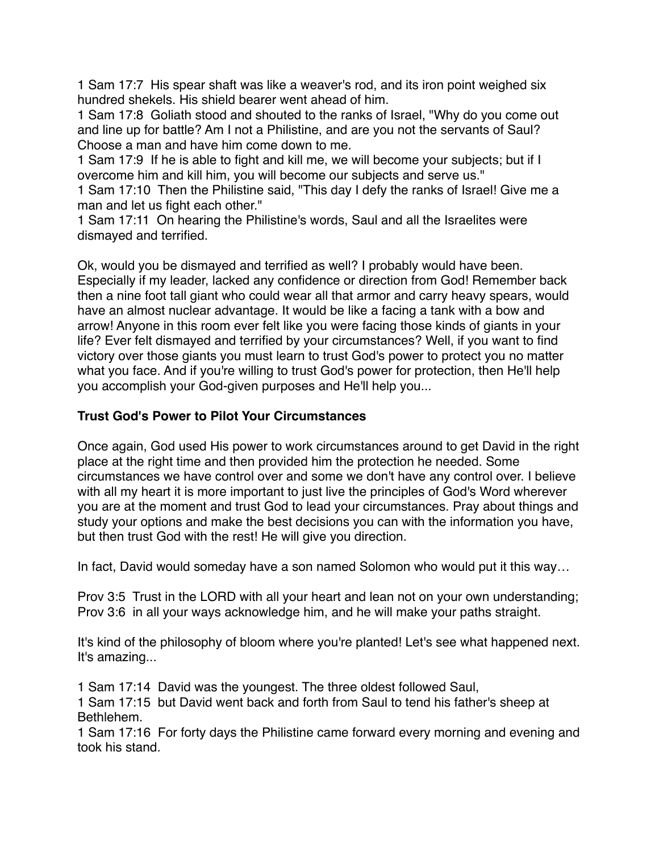1 Sam 17:7 His spear shaft was like a weaver's rod, and its iron point weighed six hundred shekels. His shield bearer went ahead of him.

1 Sam 17:8 Goliath stood and shouted to the ranks of Israel, "Why do you come out and line up for battle? Am I not a Philistine, and are you not the servants of Saul? Choose a man and have him come down to me.

1 Sam 17:9 If he is able to fight and kill me, we will become your subjects; but if I overcome him and kill him, you will become our subjects and serve us."

1 Sam 17:10 Then the Philistine said, "This day I defy the ranks of Israel! Give me a man and let us fight each other."

1 Sam 17:11 On hearing the Philistine's words, Saul and all the Israelites were dismayed and terrified.

Ok, would you be dismayed and terrified as well? I probably would have been. Especially if my leader, lacked any confidence or direction from God! Remember back then a nine foot tall giant who could wear all that armor and carry heavy spears, would have an almost nuclear advantage. It would be like a facing a tank with a bow and arrow! Anyone in this room ever felt like you were facing those kinds of giants in your life? Ever felt dismayed and terrified by your circumstances? Well, if you want to find victory over those giants you must learn to trust God's power to protect you no matter what you face. And if you're willing to trust God's power for protection, then He'll help you accomplish your God-given purposes and He'll help you...

# **Trust God's Power to Pilot Your Circumstances**

Once again, God used His power to work circumstances around to get David in the right place at the right time and then provided him the protection he needed. Some circumstances we have control over and some we don't have any control over. I believe with all my heart it is more important to just live the principles of God's Word wherever you are at the moment and trust God to lead your circumstances. Pray about things and study your options and make the best decisions you can with the information you have, but then trust God with the rest! He will give you direction.

In fact, David would someday have a son named Solomon who would put it this way…

Prov 3:5 Trust in the LORD with all your heart and lean not on your own understanding; Prov 3:6 in all your ways acknowledge him, and he will make your paths straight.

It's kind of the philosophy of bloom where you're planted! Let's see what happened next. It's amazing...

1 Sam 17:14 David was the youngest. The three oldest followed Saul,

1 Sam 17:15 but David went back and forth from Saul to tend his father's sheep at Bethlehem.

1 Sam 17:16 For forty days the Philistine came forward every morning and evening and took his stand.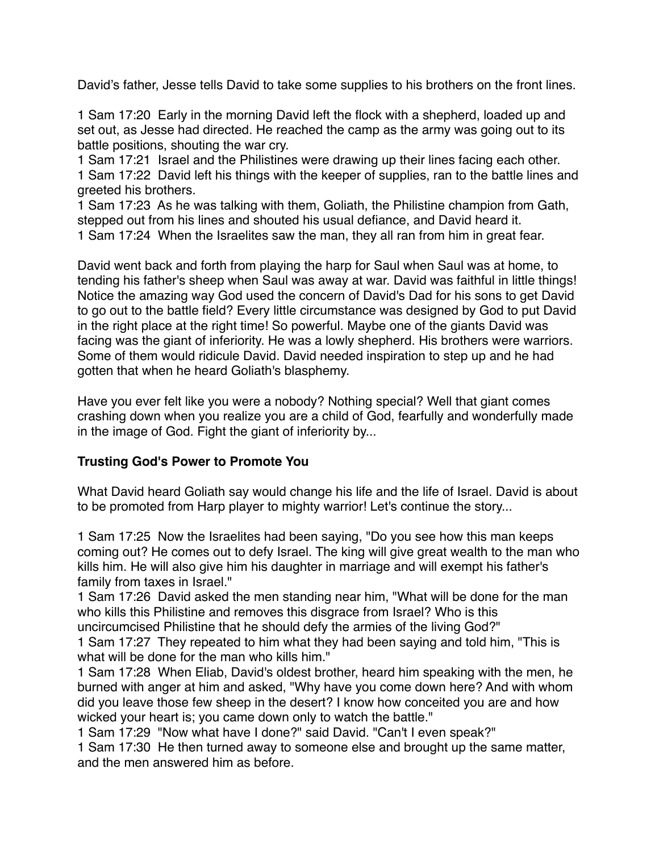David's father, Jesse tells David to take some supplies to his brothers on the front lines.

1 Sam 17:20 Early in the morning David left the flock with a shepherd, loaded up and set out, as Jesse had directed. He reached the camp as the army was going out to its battle positions, shouting the war cry.

1 Sam 17:21 Israel and the Philistines were drawing up their lines facing each other. 1 Sam 17:22 David left his things with the keeper of supplies, ran to the battle lines and greeted his brothers.

1 Sam 17:23 As he was talking with them, Goliath, the Philistine champion from Gath, stepped out from his lines and shouted his usual defiance, and David heard it. 1 Sam 17:24 When the Israelites saw the man, they all ran from him in great fear.

David went back and forth from playing the harp for Saul when Saul was at home, to tending his father's sheep when Saul was away at war. David was faithful in little things! Notice the amazing way God used the concern of David's Dad for his sons to get David to go out to the battle field? Every little circumstance was designed by God to put David in the right place at the right time! So powerful. Maybe one of the giants David was facing was the giant of inferiority. He was a lowly shepherd. His brothers were warriors. Some of them would ridicule David. David needed inspiration to step up and he had gotten that when he heard Goliath's blasphemy.

Have you ever felt like you were a nobody? Nothing special? Well that giant comes crashing down when you realize you are a child of God, fearfully and wonderfully made in the image of God. Fight the giant of inferiority by...

# **Trusting God's Power to Promote You**

What David heard Goliath say would change his life and the life of Israel. David is about to be promoted from Harp player to mighty warrior! Let's continue the story...

1 Sam 17:25 Now the Israelites had been saying, "Do you see how this man keeps coming out? He comes out to defy Israel. The king will give great wealth to the man who kills him. He will also give him his daughter in marriage and will exempt his father's family from taxes in Israel."

1 Sam 17:26 David asked the men standing near him, "What will be done for the man who kills this Philistine and removes this disgrace from Israel? Who is this uncircumcised Philistine that he should defy the armies of the living God?"

1 Sam 17:27 They repeated to him what they had been saying and told him, "This is what will be done for the man who kills him."

1 Sam 17:28 When Eliab, David's oldest brother, heard him speaking with the men, he burned with anger at him and asked, "Why have you come down here? And with whom did you leave those few sheep in the desert? I know how conceited you are and how wicked your heart is; you came down only to watch the battle."

1 Sam 17:29 "Now what have I done?" said David. "Can't I even speak?"

1 Sam 17:30 He then turned away to someone else and brought up the same matter, and the men answered him as before.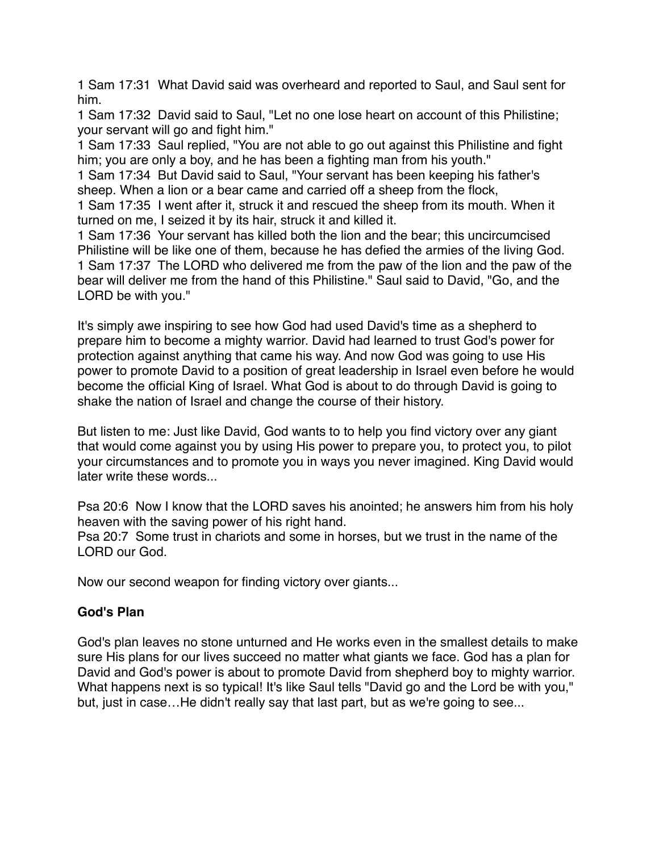1 Sam 17:31 What David said was overheard and reported to Saul, and Saul sent for him.

1 Sam 17:32 David said to Saul, "Let no one lose heart on account of this Philistine; your servant will go and fight him."

1 Sam 17:33 Saul replied, "You are not able to go out against this Philistine and fight him; you are only a boy, and he has been a fighting man from his youth."

1 Sam 17:34 But David said to Saul, "Your servant has been keeping his father's sheep. When a lion or a bear came and carried off a sheep from the flock,

1 Sam 17:35 I went after it, struck it and rescued the sheep from its mouth. When it turned on me, I seized it by its hair, struck it and killed it.

1 Sam 17:36 Your servant has killed both the lion and the bear; this uncircumcised Philistine will be like one of them, because he has defied the armies of the living God. 1 Sam 17:37 The LORD who delivered me from the paw of the lion and the paw of the bear will deliver me from the hand of this Philistine." Saul said to David, "Go, and the LORD be with you."

It's simply awe inspiring to see how God had used David's time as a shepherd to prepare him to become a mighty warrior. David had learned to trust God's power for protection against anything that came his way. And now God was going to use His power to promote David to a position of great leadership in Israel even before he would become the official King of Israel. What God is about to do through David is going to shake the nation of Israel and change the course of their history.

But listen to me: Just like David, God wants to to help you find victory over any giant that would come against you by using His power to prepare you, to protect you, to pilot your circumstances and to promote you in ways you never imagined. King David would later write these words...

Psa 20:6 Now I know that the LORD saves his anointed; he answers him from his holy heaven with the saving power of his right hand.

Psa 20:7 Some trust in chariots and some in horses, but we trust in the name of the LORD our God.

Now our second weapon for finding victory over giants...

# **God's Plan**

God's plan leaves no stone unturned and He works even in the smallest details to make sure His plans for our lives succeed no matter what giants we face. God has a plan for David and God's power is about to promote David from shepherd boy to mighty warrior. What happens next is so typical! It's like Saul tells "David go and the Lord be with you," but, just in case…He didn't really say that last part, but as we're going to see...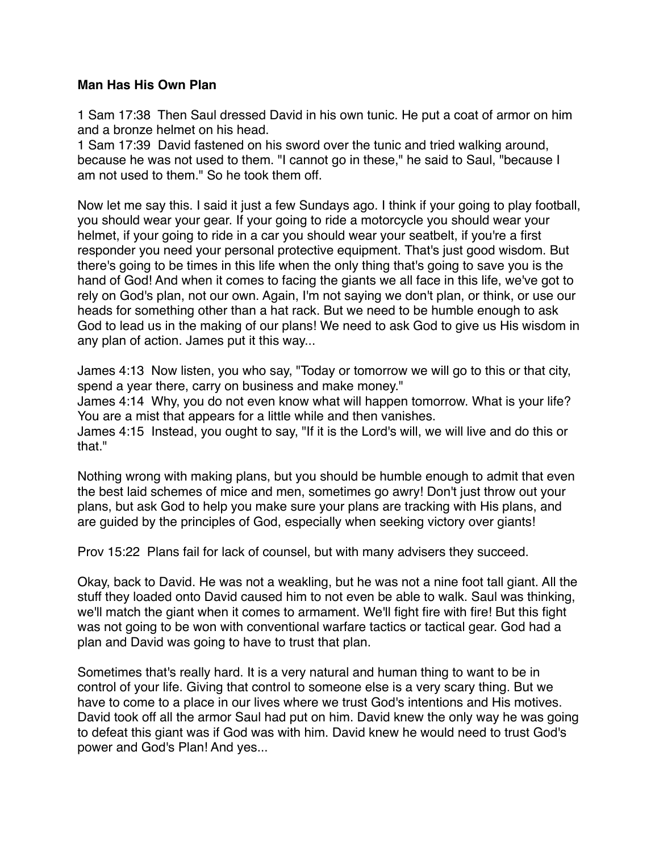#### **Man Has His Own Plan**

1 Sam 17:38 Then Saul dressed David in his own tunic. He put a coat of armor on him and a bronze helmet on his head.

1 Sam 17:39 David fastened on his sword over the tunic and tried walking around, because he was not used to them. "I cannot go in these," he said to Saul, "because I am not used to them." So he took them off.

Now let me say this. I said it just a few Sundays ago. I think if your going to play football, you should wear your gear. If your going to ride a motorcycle you should wear your helmet, if your going to ride in a car you should wear your seatbelt, if you're a first responder you need your personal protective equipment. That's just good wisdom. But there's going to be times in this life when the only thing that's going to save you is the hand of God! And when it comes to facing the giants we all face in this life, we've got to rely on God's plan, not our own. Again, I'm not saying we don't plan, or think, or use our heads for something other than a hat rack. But we need to be humble enough to ask God to lead us in the making of our plans! We need to ask God to give us His wisdom in any plan of action. James put it this way...

James 4:13 Now listen, you who say, "Today or tomorrow we will go to this or that city, spend a year there, carry on business and make money."

James 4:14 Why, you do not even know what will happen tomorrow. What is your life? You are a mist that appears for a little while and then vanishes.

James 4:15 Instead, you ought to say, "If it is the Lord's will, we will live and do this or that."

Nothing wrong with making plans, but you should be humble enough to admit that even the best laid schemes of mice and men, sometimes go awry! Don't just throw out your plans, but ask God to help you make sure your plans are tracking with His plans, and are guided by the principles of God, especially when seeking victory over giants!

Prov 15:22 Plans fail for lack of counsel, but with many advisers they succeed.

Okay, back to David. He was not a weakling, but he was not a nine foot tall giant. All the stuff they loaded onto David caused him to not even be able to walk. Saul was thinking, we'll match the giant when it comes to armament. We'll fight fire with fire! But this fight was not going to be won with conventional warfare tactics or tactical gear. God had a plan and David was going to have to trust that plan.

Sometimes that's really hard. It is a very natural and human thing to want to be in control of your life. Giving that control to someone else is a very scary thing. But we have to come to a place in our lives where we trust God's intentions and His motives. David took off all the armor Saul had put on him. David knew the only way he was going to defeat this giant was if God was with him. David knew he would need to trust God's power and God's Plan! And yes...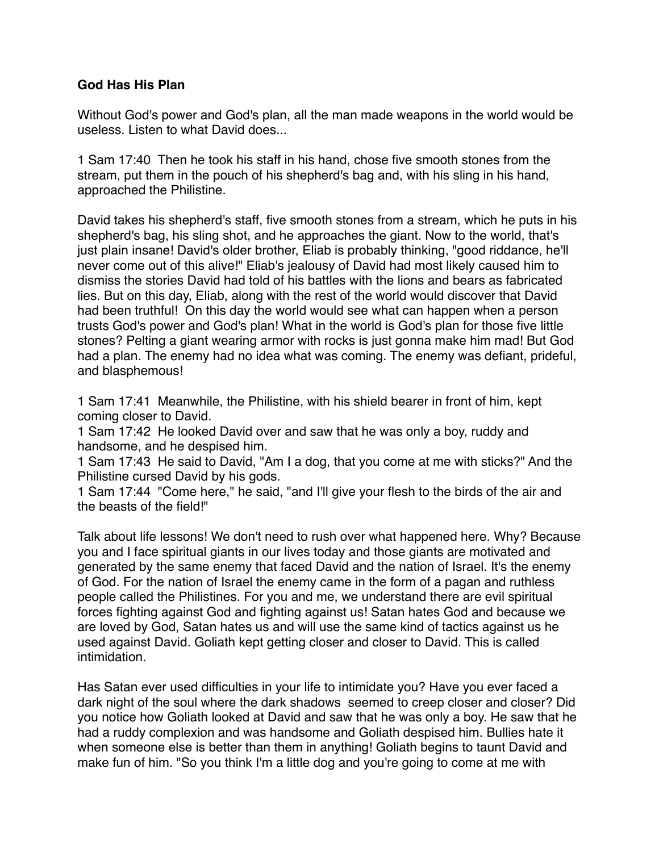#### **God Has His Plan**

Without God's power and God's plan, all the man made weapons in the world would be useless. Listen to what David does...

1 Sam 17:40 Then he took his staff in his hand, chose five smooth stones from the stream, put them in the pouch of his shepherd's bag and, with his sling in his hand, approached the Philistine.

David takes his shepherd's staff, five smooth stones from a stream, which he puts in his shepherd's bag, his sling shot, and he approaches the giant. Now to the world, that's just plain insane! David's older brother, Eliab is probably thinking, "good riddance, he'll never come out of this alive!" Eliab's jealousy of David had most likely caused him to dismiss the stories David had told of his battles with the lions and bears as fabricated lies. But on this day, Eliab, along with the rest of the world would discover that David had been truthful! On this day the world would see what can happen when a person trusts God's power and God's plan! What in the world is God's plan for those five little stones? Pelting a giant wearing armor with rocks is just gonna make him mad! But God had a plan. The enemy had no idea what was coming. The enemy was defiant, prideful, and blasphemous!

1 Sam 17:41 Meanwhile, the Philistine, with his shield bearer in front of him, kept coming closer to David.

1 Sam 17:42 He looked David over and saw that he was only a boy, ruddy and handsome, and he despised him.

1 Sam 17:43 He said to David, "Am I a dog, that you come at me with sticks?" And the Philistine cursed David by his gods.

1 Sam 17:44 "Come here," he said, "and I'll give your flesh to the birds of the air and the beasts of the field!"

Talk about life lessons! We don't need to rush over what happened here. Why? Because you and I face spiritual giants in our lives today and those giants are motivated and generated by the same enemy that faced David and the nation of Israel. It's the enemy of God. For the nation of Israel the enemy came in the form of a pagan and ruthless people called the Philistines. For you and me, we understand there are evil spiritual forces fighting against God and fighting against us! Satan hates God and because we are loved by God, Satan hates us and will use the same kind of tactics against us he used against David. Goliath kept getting closer and closer to David. This is called intimidation.

Has Satan ever used difficulties in your life to intimidate you? Have you ever faced a dark night of the soul where the dark shadows seemed to creep closer and closer? Did you notice how Goliath looked at David and saw that he was only a boy. He saw that he had a ruddy complexion and was handsome and Goliath despised him. Bullies hate it when someone else is better than them in anything! Goliath begins to taunt David and make fun of him. "So you think I'm a little dog and you're going to come at me with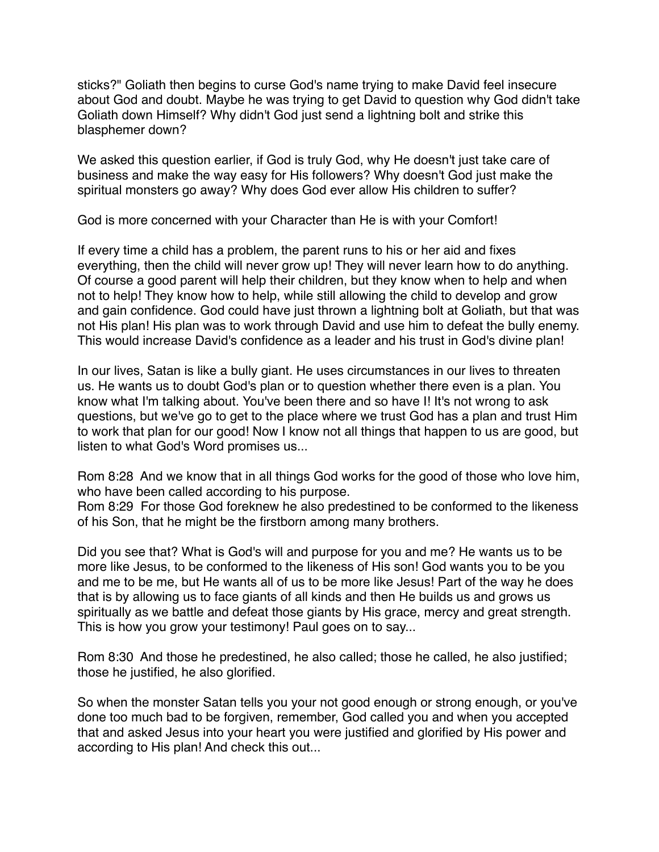sticks?" Goliath then begins to curse God's name trying to make David feel insecure about God and doubt. Maybe he was trying to get David to question why God didn't take Goliath down Himself? Why didn't God just send a lightning bolt and strike this blasphemer down?

We asked this question earlier, if God is truly God, why He doesn't just take care of business and make the way easy for His followers? Why doesn't God just make the spiritual monsters go away? Why does God ever allow His children to suffer?

God is more concerned with your Character than He is with your Comfort!

If every time a child has a problem, the parent runs to his or her aid and fixes everything, then the child will never grow up! They will never learn how to do anything. Of course a good parent will help their children, but they know when to help and when not to help! They know how to help, while still allowing the child to develop and grow and gain confidence. God could have just thrown a lightning bolt at Goliath, but that was not His plan! His plan was to work through David and use him to defeat the bully enemy. This would increase David's confidence as a leader and his trust in God's divine plan!

In our lives, Satan is like a bully giant. He uses circumstances in our lives to threaten us. He wants us to doubt God's plan or to question whether there even is a plan. You know what I'm talking about. You've been there and so have I! It's not wrong to ask questions, but we've go to get to the place where we trust God has a plan and trust Him to work that plan for our good! Now I know not all things that happen to us are good, but listen to what God's Word promises us...

Rom 8:28 And we know that in all things God works for the good of those who love him, who have been called according to his purpose.

Rom 8:29 For those God foreknew he also predestined to be conformed to the likeness of his Son, that he might be the firstborn among many brothers.

Did you see that? What is God's will and purpose for you and me? He wants us to be more like Jesus, to be conformed to the likeness of His son! God wants you to be you and me to be me, but He wants all of us to be more like Jesus! Part of the way he does that is by allowing us to face giants of all kinds and then He builds us and grows us spiritually as we battle and defeat those giants by His grace, mercy and great strength. This is how you grow your testimony! Paul goes on to say...

Rom 8:30 And those he predestined, he also called; those he called, he also justified; those he justified, he also glorified.

So when the monster Satan tells you your not good enough or strong enough, or you've done too much bad to be forgiven, remember, God called you and when you accepted that and asked Jesus into your heart you were justified and glorified by His power and according to His plan! And check this out...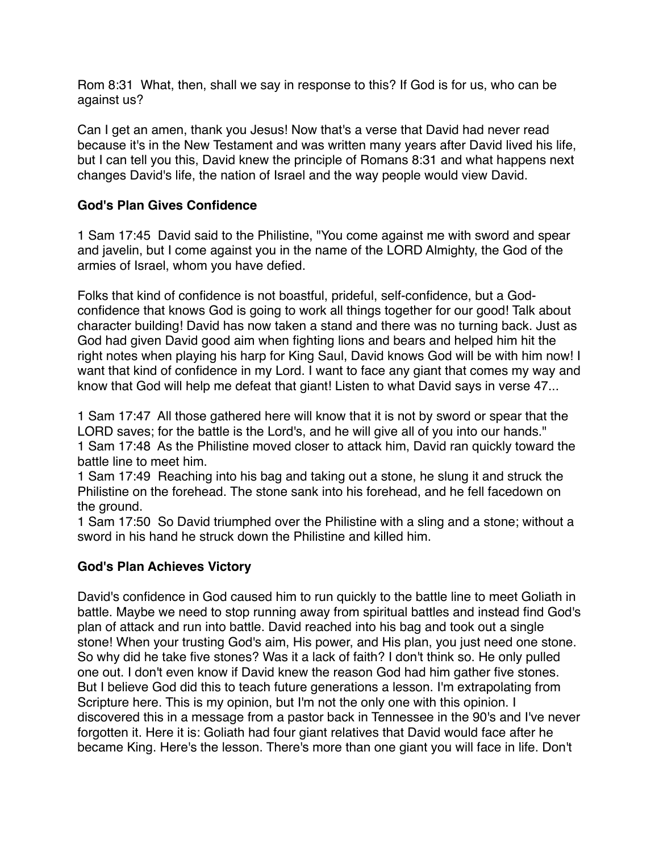Rom 8:31 What, then, shall we say in response to this? If God is for us, who can be against us?

Can I get an amen, thank you Jesus! Now that's a verse that David had never read because it's in the New Testament and was written many years after David lived his life, but I can tell you this, David knew the principle of Romans 8:31 and what happens next changes David's life, the nation of Israel and the way people would view David.

### **God's Plan Gives Confidence**

1 Sam 17:45 David said to the Philistine, "You come against me with sword and spear and javelin, but I come against you in the name of the LORD Almighty, the God of the armies of Israel, whom you have defied.

Folks that kind of confidence is not boastful, prideful, self-confidence, but a Godconfidence that knows God is going to work all things together for our good! Talk about character building! David has now taken a stand and there was no turning back. Just as God had given David good aim when fighting lions and bears and helped him hit the right notes when playing his harp for King Saul, David knows God will be with him now! I want that kind of confidence in my Lord. I want to face any giant that comes my way and know that God will help me defeat that giant! Listen to what David says in verse 47...

1 Sam 17:47 All those gathered here will know that it is not by sword or spear that the LORD saves; for the battle is the Lord's, and he will give all of you into our hands." 1 Sam 17:48 As the Philistine moved closer to attack him, David ran quickly toward the battle line to meet him.

1 Sam 17:49 Reaching into his bag and taking out a stone, he slung it and struck the Philistine on the forehead. The stone sank into his forehead, and he fell facedown on the ground.

1 Sam 17:50 So David triumphed over the Philistine with a sling and a stone; without a sword in his hand he struck down the Philistine and killed him.

# **God's Plan Achieves Victory**

David's confidence in God caused him to run quickly to the battle line to meet Goliath in battle. Maybe we need to stop running away from spiritual battles and instead find God's plan of attack and run into battle. David reached into his bag and took out a single stone! When your trusting God's aim, His power, and His plan, you just need one stone. So why did he take five stones? Was it a lack of faith? I don't think so. He only pulled one out. I don't even know if David knew the reason God had him gather five stones. But I believe God did this to teach future generations a lesson. I'm extrapolating from Scripture here. This is my opinion, but I'm not the only one with this opinion. I discovered this in a message from a pastor back in Tennessee in the 90's and I've never forgotten it. Here it is: Goliath had four giant relatives that David would face after he became King. Here's the lesson. There's more than one giant you will face in life. Don't